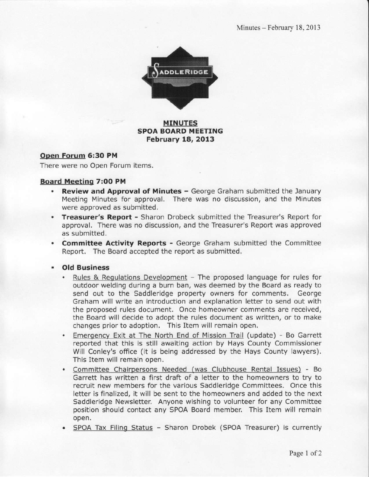

### MINUTES SPOA BOARD MEETING February 18, 2013

### Open Forum 6:30 PM

There were no Open Forum items.

### Board Meetino 7!OO PM

- Review and Approval of Minutes George Graham submitted the January Meeting Minutes for approval. There was no discussion, and the Minutes were approved as submitted.
- . Treasurer's Report Sharon Drobeck submitted the Treasurer's Report for approval. There was no discussion, and the Treasurer's Report was approved as submitted.
- . Committee Activity Reports George Graham submitted the Committee Report. The Board accepted the report as submitted,
- . Old Business
	- Rules & Regulations Development The proposed language for rules for outdoor welding during a burn ban, was deemed by the Board as ready to send out to the Saddleridge property owners for comments. George Graham will write an introduction and explanation letter to send out with the proposed rules document. Once homeowner comments are received, the Board will decide to adopt the rules document as written, or to make changes prior to adoption. This Item will remain open.
	- . Emergency Exit at The North End of Mission Trail (update) Bo Garrett reported that this is still awaiting action by Hays County Commlssioner Will Conley's office (it is being addressed by the Hays County lawyers). This ltem will remain open,
	- . committee Chairpersons Needed (was Clubhouse Rental Issues) Bo Garrett has written a first draft of a letter to the homeowners to try to recruit new members for the various Saddleridge Committees. Once this letter is finalized, it will be sent to the homeowners and added to the next Saddleridge Newsletter. Anyone wishing to volunteer for any Committee position should contact any SPOA Board member. This Item will remain open.
	- SPOA Tax Filing Status Sharon Drobek (SPOA Treasurer) is currently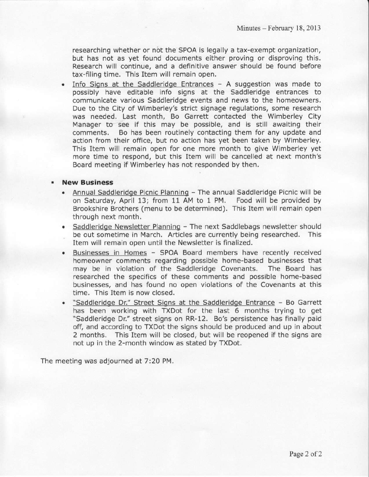researching whether or not the SPOA is legally a tax-exempt organization, but has not as yet found documents either proving or disproving this. Research will continue, and a definitive answer should be found before tax-filing time. This Item will remain open.

Info Signs at the Saddleridge Entrances  $-$  A suggestion was made to possibly have editable info signs at the Saddleridge entrances to communicate various Saddleridge events and news to the homeowners. Due to the City of Wimberley's strict signage regulations, some research was needed. Last month, Bo Garrett contacted the Wimberley City Manager to see if this may be possible, and is still awaiting their comments, Bo has been routinely contacting them for any update and action from their office, but no action has yet been taken by Wimberley. This Item will remain open for one more month to give Wimberley yet more time to respond, but this ltem will be cancelled at next month's Board meeting if Wimberley has not responded by then.

### New Business

- Annual Saddleridge Picnic Planning The annual Saddleridge Picnic will be on Saturday, April 13; from 11 AM to 1 PM. Food will be provided by Brookshire Brothers (menu to be determined). This Item will remain open through next month.
- . Saddleridoe Newsletter Planning The next Saddlebags newsletter should be out sometime in March. Articles are currently being researched. This Item will remain open until the Newsletter is finalized.
- . Businesses in Homes SPOA Board members have recently received homeowner comments regarding possible home-based businesses that may be in violation of the Saddleridge Covenants, The Board has researched the specifics of these comments and possible home-based businesses, and has found no open violations of the Covenants at this time, This Item is now closed.
- "Saddleridge Dr." Street Signs at the Saddleridge Entrance Bo Garrett has been working with TXDot for the last 6 months trying to get "Saddleridge Dr." street signs on RR-12. Bo's persistence has finally paid off, and according to TXDot the signs should be produced and up in about 2 months. This Item will be closed, but will be reopened if the signs are not up in the 2-month window as stated by TXDot.

The meeting was adjourned at 7:20 PM.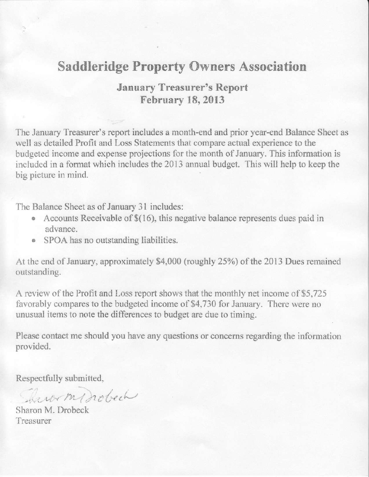## **Saddleridge Property Owners Association**

## January Treasurer's Report Februarv 18.2013

The January Treasurer's report includes a month-end and prior year-end Balance Sheet as well as detailed Profit and Loss Statements that compare actual experience to the budgeted income and expense projections for the month of January. This information is included in a format which includes the 2013 annual budget. This will help to keep the big picture in mind.

The Balance Sheet as of January 31 includes:

- Accounts Receivable of  $$(16)$ , this negative balance represents dues paid in advance.
- o SPOA has no outstanding liabilities,

At the end of January, approximately \$4,000 (roughly 25%) of the 2013 Dues remained outstanding.

A review of the Profit and Loss report shows that the monthly net income of \$5,725 favorably compares to the budgeted income of \$4,730 for January. There were no unusual items to note the differences to budget are due to timing.

please contact me should you have any questions or concerns regarding the information provided.

Respectfully submitted,

There my nobech

Sharon M. Drobeck Treasurer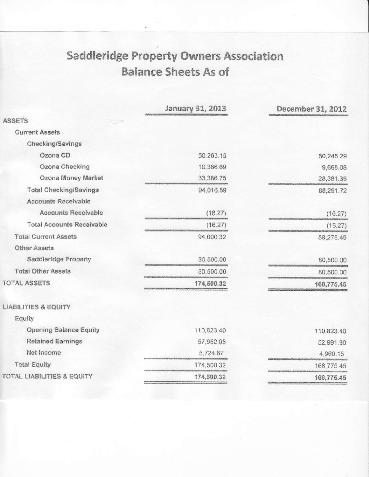## **Saddleridge Property Owners Association Balance Sheets As of**

|                                       | January 31, 2013 | December 31, 2012 |
|---------------------------------------|------------------|-------------------|
| <b>ASSETS</b>                         |                  |                   |
| <b>Current Assets</b>                 |                  |                   |
| Checking/Savings                      |                  |                   |
| Ozona CD                              | 50,263.15        | 50,245.29         |
| Ozona Checking                        | 10,366.69        | 9,665.08          |
| Ozona Money Market                    | 33,386.75        | 28,381.35         |
| <b>Total Checking/Savings</b>         | 94,016.59        | 88,291.72         |
| <b>Accounts Receivable</b>            |                  |                   |
| <b>Accounts Receivable</b>            | (16.27)          | (16.27)           |
| <b>Total Accounts Receivable</b>      | (16.27)          | (16.27)           |
| <b>Total Current Assets</b>           | 94,000.32        | 88,275.45         |
| <b>Other Assets</b>                   |                  |                   |
| Saddleridge Property                  | 80,500.00        | 80,500.00         |
| <b>Total Other Assets</b>             | 80,500.00        | 80,500.00         |
| <b>TOTAL ASSETS</b>                   | 174,500.32       | 168,775.45        |
| <b>LIABILITIES &amp; EQUITY</b>       |                  |                   |
| Equity                                |                  |                   |
| <b>Opening Balance Equity</b>         | 110,823.40       | 110,823.40        |
| <b>Retained Earnings</b>              | 57,952.05        | 52,991.90         |
| Net Income                            | 5,724.87         | 4,960.15          |
| <b>Total Equity</b>                   | 174,500.32       | 168,775.45        |
| <b>TOTAL LIABILITIES &amp; EQUITY</b> | 174,500.32       | 168,775.45        |
|                                       |                  |                   |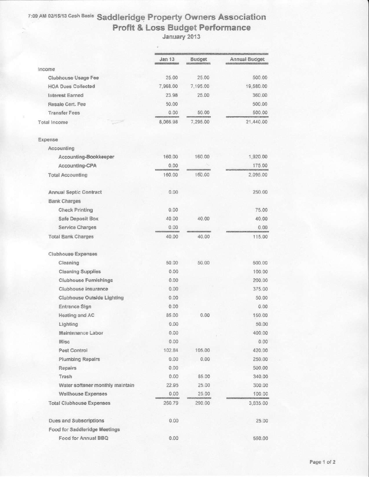# 7:09 AM 02/15/13 Cash Basis Saddleridge Property Owners Association<br>Profit & Loss Budget Performance<br>January 2013

|                                 | Jan 13   | Budget   | Annual Budget |
|---------------------------------|----------|----------|---------------|
| income                          |          |          |               |
| Clubhouse Usage Fee             | 25.00    | 25.00    | 500.00        |
| <b>HOA Dues Collected</b>       | 7,968.00 | 7,195.00 | 19,580.00     |
| <b>Interest Earned</b>          | 23.98    | 25.00    | 360.00        |
| Resale Cert. Fee                | 50.00    |          | 500.00        |
| <b>Transfer Fees</b>            | 0.00     | 50.00    | 500.00        |
| Total Income                    | 8,066.98 | 7,295.00 | 21,440.00     |
| Expense                         |          |          |               |
| Accounting                      |          |          |               |
| Accounting-Bookkeeper           | 160.00   | 160.00   | 1,920.00      |
| Accounting-CPA                  | 0.00     |          | 175.00        |
| <b>Total Accounting</b>         | 160.00   | 160.00   | 2,095.00      |
| <b>Annual Septic Contract</b>   | 0.00     |          | 250.00        |
| <b>Bank Charges</b>             |          |          |               |
| <b>Check Printing</b>           | 0.00     |          | 75.00         |
| Safe Deposit Box                | 40.00    | 40.00    | 40.00         |
| <b>Service Charges</b>          | 0.00     |          | 0.00          |
| <b>Total Bank Charges</b>       | 40.00    | 40.00    | 115.00        |
| Clubhouse Expenses              |          |          |               |
| Cleaning                        | 50.00    | 50.00    | 600.00        |
| <b>Cleaning Supplies</b>        | 0.00     |          | 100.00        |
| <b>Clubhouse Furnishings</b>    | 0.00     |          | 200.00        |
| Clubhouse insurance             | 0.00     |          | 375.00        |
| Clubhouse Outside Lighting      | 0.00     |          | 50.00         |
| Entrance Sign                   | 0.00     |          | 0.00          |
| Heating and AC                  | 85.00    | 0.00     | 150.00        |
| Lighting                        | 0.00     |          | 50.00         |
| Maintenance Labor               | 0.00     |          | 400.00        |
| Misc                            | 0.00     |          | 0.00          |
| Pest Control                    | 102.84   | 105.00   | 420.00        |
| <b>Plumbing Repairs</b>         | 0.00     | 0.00     | 250.00        |
| Repairs                         | 0.00     |          | 500.00        |
| Trash                           | 0.00     | 85.00    | 340.00        |
| Water softener monthly maintain | 22.95    | 25.00    | 300.00        |
| <b>Wellhouse Expenses</b>       | 0.00     | 25.00    | 100.00        |
| <b>Total Clubhouse Expenses</b> | 260.79   | 290.00   | 3,835.00      |
| Dues and Subscriptions          | 0.00     |          | 25.00         |
| Food for Saddleridge Meetings   |          |          |               |
| Food for Annual BBQ             | 0.00     |          | 550.00        |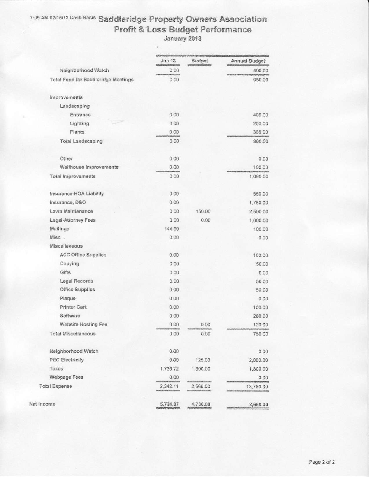## 7:09 AM 02/15/13 Cash Basis Saddleridge Property Owners Association Profit & Loss Budget Performance

|                                            | Jan 13<br>editect exposure and company | <b>Budget</b> | <b>Annual Budget</b> |
|--------------------------------------------|----------------------------------------|---------------|----------------------|
| Neighborhood Watch                         | 0.00<br><b>CENTER</b>                  |               | 400.00               |
| <b>Total Food for Saddleridge Meetings</b> | 0.00                                   |               | 950.00               |
| Improvements                               |                                        |               |                      |
| Landscaping                                |                                        |               |                      |
| Entrance                                   | 0.00                                   |               | 400.00               |
| Lighting                                   | 0.00                                   |               | 200.00               |
| Plants                                     | 0.00                                   |               | 360.00               |
| <b>Total Landscaping</b>                   | 0.00                                   |               | 960.00               |
| Other                                      | 0.00                                   |               | 0.00                 |
| Wellhouse Improvements                     | 0.00                                   |               | 100.00               |
| Total Improvements                         | 0.00                                   |               | 1,060.00             |
| Insurance-HOA Liability                    | 0.00                                   |               | 550.00               |
| Insurance, D&O                             | 0.00                                   |               | 1,750.00             |
| Lawn Maintenance                           | 0.00                                   | 150.00        | 2,500.00             |
| Legal-Attorney Fees                        | 0.00                                   | 0.00          | 1,000.00             |
| Mailings                                   | 144.60                                 |               | 100.00               |
| Misc.                                      | 0.00                                   |               | 0.00                 |
| Miscellaneous                              |                                        |               |                      |
| <b>ACC Office Supplies</b>                 | 0.00                                   |               | 100.00               |
| Copying                                    | 0.00                                   |               | 50.00                |
| Gifts                                      | 0.00                                   |               | 0.00                 |
| Legal Records                              | 0.00                                   |               | 50.00                |
| Office Supplies                            | 0.00                                   |               | 50.00                |
| Plaque                                     | 0.00                                   |               | 0.00                 |
| Printer Cart.                              | 0.00                                   |               | 100.00               |
| Software                                   | 0.00                                   |               | 280.00               |
| Website Hosting Fee                        | 0.00                                   | 0.00          | 120.00               |
| <b>Total Miscellaneous</b>                 | 0.00                                   | 0.00          | 750.00               |
| Neighborhood Watch                         | 0.00                                   |               | 0.00                 |
| <b>PEC Electricity</b>                     | 0.00                                   | 125.00        | 2,000.00             |
| Taxes                                      | 1,736.72                               | 1,800.00      | 1,800.00             |
| Webpage Fees                               | 0.00                                   |               | 0.00                 |
| <b>Total Expense</b>                       | 2,342.11                               | 2,565.00      | 18,780.00            |
| Net Income                                 | 5,724.87                               | 4,730.00      | 2,660.00             |